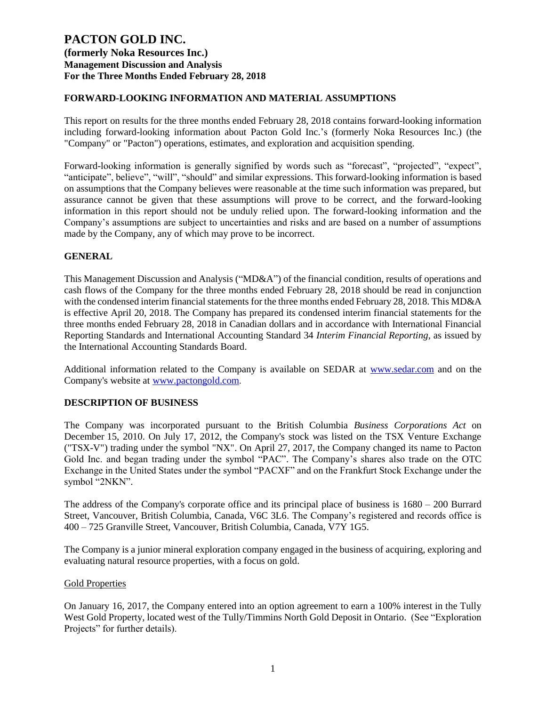### **FORWARD-LOOKING INFORMATION AND MATERIAL ASSUMPTIONS**

This report on results for the three months ended February 28, 2018 contains forward-looking information including forward-looking information about Pacton Gold Inc.'s (formerly Noka Resources Inc.) (the "Company" or "Pacton") operations, estimates, and exploration and acquisition spending.

Forward-looking information is generally signified by words such as "forecast", "projected", "expect", "anticipate", believe", "will", "should" and similar expressions. This forward-looking information is based on assumptions that the Company believes were reasonable at the time such information was prepared, but assurance cannot be given that these assumptions will prove to be correct, and the forward-looking information in this report should not be unduly relied upon. The forward-looking information and the Company's assumptions are subject to uncertainties and risks and are based on a number of assumptions made by the Company, any of which may prove to be incorrect.

#### **GENERAL**

This Management Discussion and Analysis ("MD&A") of the financial condition, results of operations and cash flows of the Company for the three months ended February 28, 2018 should be read in conjunction with the condensed interim financial statements for the three months ended February 28, 2018. This MD&A is effective April 20, 2018. The Company has prepared its condensed interim financial statements for the three months ended February 28, 2018 in Canadian dollars and in accordance with International Financial Reporting Standards and International Accounting Standard 34 *Interim Financial Reporting*, as issued by the International Accounting Standards Board.

Additional information related to the Company is available on SEDAR at [www.sedar.com](http://www.sedar.com/) and on the Company's website at [www.pactongold.com](http://www.pactongold.com/).

#### **DESCRIPTION OF BUSINESS**

The Company was incorporated pursuant to the British Columbia *Business Corporations Act* on December 15, 2010. On July 17, 2012, the Company's stock was listed on the TSX Venture Exchange ("TSX-V") trading under the symbol "NX". On April 27, 2017, the Company changed its name to Pacton Gold Inc. and began trading under the symbol "PAC". The Company's shares also trade on the OTC Exchange in the United States under the symbol "PACXF" and on the Frankfurt Stock Exchange under the symbol "2NKN".

The address of the Company's corporate office and its principal place of business is 1680 – 200 Burrard Street, Vancouver, British Columbia, Canada, V6C 3L6. The Company's registered and records office is 400 – 725 Granville Street, Vancouver, British Columbia, Canada, V7Y 1G5.

The Company is a junior mineral exploration company engaged in the business of acquiring, exploring and evaluating natural resource properties, with a focus on gold.

#### Gold Properties

On January 16, 2017, the Company entered into an option agreement to earn a 100% interest in the Tully West Gold Property, located west of the Tully/Timmins North Gold Deposit in Ontario. (See "Exploration Projects" for further details).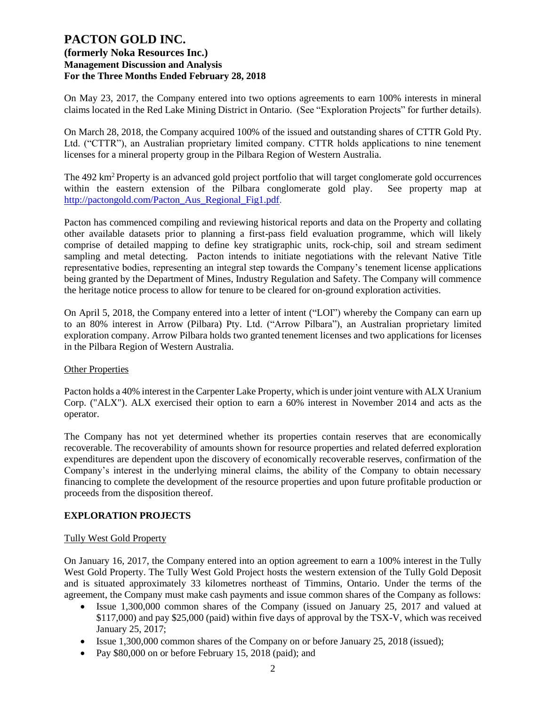On May 23, 2017, the Company entered into two options agreements to earn 100% interests in mineral claims located in the Red Lake Mining District in Ontario. (See "Exploration Projects" for further details).

On March 28, 2018, the Company acquired 100% of the issued and outstanding shares of CTTR Gold Pty. Ltd. ("CTTR"), an Australian proprietary limited company. CTTR holds applications to nine tenement licenses for a mineral property group in the Pilbara Region of Western Australia.

The 492 km<sup>2</sup> Property is an advanced gold project portfolio that will target conglomerate gold occurrences within the eastern extension of the Pilbara conglomerate gold play. See property map at [http://pactongold.com/Pacton\\_Aus\\_Regional\\_Fig1.pdf.](http://pactongold.com/Pacton_Aus_Regional_Fig1.pdf)

Pacton has commenced compiling and reviewing historical reports and data on the Property and collating other available datasets prior to planning a first-pass field evaluation programme, which will likely comprise of detailed mapping to define key stratigraphic units, rock-chip, soil and stream sediment sampling and metal detecting. Pacton intends to initiate negotiations with the relevant Native Title representative bodies, representing an integral step towards the Company's tenement license applications being granted by the Department of Mines, Industry Regulation and Safety. The Company will commence the heritage notice process to allow for tenure to be cleared for on-ground exploration activities.

On April 5, 2018, the Company entered into a letter of intent ("LOI") whereby the Company can earn up to an 80% interest in Arrow (Pilbara) Pty. Ltd. ("Arrow Pilbara"), an Australian proprietary limited exploration company. Arrow Pilbara holds two granted tenement licenses and two applications for licenses in the Pilbara Region of Western Australia.

#### Other Properties

Pacton holds a 40% interest in the Carpenter Lake Property, which is under joint venture with ALX Uranium Corp. ("ALX"). ALX exercised their option to earn a 60% interest in November 2014 and acts as the operator.

The Company has not yet determined whether its properties contain reserves that are economically recoverable. The recoverability of amounts shown for resource properties and related deferred exploration expenditures are dependent upon the discovery of economically recoverable reserves, confirmation of the Company's interest in the underlying mineral claims, the ability of the Company to obtain necessary financing to complete the development of the resource properties and upon future profitable production or proceeds from the disposition thereof.

#### **EXPLORATION PROJECTS**

#### Tully West Gold Property

On January 16, 2017, the Company entered into an option agreement to earn a 100% interest in the Tully West Gold Property. The Tully West Gold Project hosts the western extension of the Tully Gold Deposit and is situated approximately 33 kilometres northeast of Timmins, Ontario. Under the terms of the agreement, the Company must make cash payments and issue common shares of the Company as follows:

- Issue 1,300,000 common shares of the Company (issued on January 25, 2017 and valued at \$117,000) and pay \$25,000 (paid) within five days of approval by the TSX-V, which was received January 25, 2017;
- Issue 1,300,000 common shares of the Company on or before January 25, 2018 (issued);
- Pay \$80,000 on or before February 15, 2018 (paid); and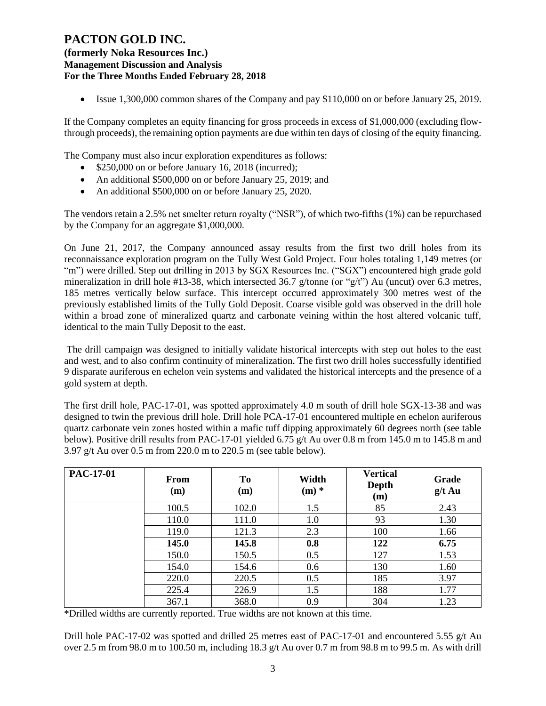**(formerly Noka Resources Inc.) Management Discussion and Analysis For the Three Months Ended February 28, 2018**

• Issue 1,300,000 common shares of the Company and pay \$110,000 on or before January 25, 2019.

If the Company completes an equity financing for gross proceeds in excess of \$1,000,000 (excluding flowthrough proceeds), the remaining option payments are due within ten days of closing of the equity financing.

The Company must also incur exploration expenditures as follows:

- \$250,000 on or before January 16, 2018 (incurred);
- An additional \$500,000 on or before January 25, 2019; and
- An additional \$500,000 on or before January 25, 2020.

The vendors retain a 2.5% net smelter return royalty ("NSR"), of which two-fifths (1%) can be repurchased by the Company for an aggregate \$1,000,000.

On June 21, 2017, the Company announced assay results from the first two drill holes from its reconnaissance exploration program on the Tully West Gold Project. Four holes totaling 1,149 metres (or "m") were drilled. Step out drilling in 2013 by SGX Resources Inc. ("SGX") encountered high grade gold mineralization in drill hole #13-38, which intersected 36.7 g/tonne (or "g/t") Au (uncut) over 6.3 metres, 185 metres vertically below surface. This intercept occurred approximately 300 metres west of the previously established limits of the Tully Gold Deposit. Coarse visible gold was observed in the drill hole within a broad zone of mineralized quartz and carbonate veining within the host altered volcanic tuff, identical to the main Tully Deposit to the east.

The drill campaign was designed to initially validate historical intercepts with step out holes to the east and west, and to also confirm continuity of mineralization. The first two drill holes successfully identified 9 disparate auriferous en echelon vein systems and validated the historical intercepts and the presence of a gold system at depth.

The first drill hole, PAC-17-01, was spotted approximately 4.0 m south of drill hole SGX-13-38 and was designed to twin the previous drill hole. Drill hole PCA-17-01 encountered multiple en echelon auriferous quartz carbonate vein zones hosted within a mafic tuff dipping approximately 60 degrees north (see table below). Positive drill results from PAC-17-01 yielded 6.75 g/t Au over 0.8 m from 145.0 m to 145.8 m and 3.97 g/t Au over 0.5 m from 220.0 m to 220.5 m (see table below).

| <b>PAC-17-01</b> | <b>From</b><br>(m) | To<br>(m) | Width<br>$(m)$ * | <b>Vertical</b><br><b>Depth</b><br>(m) | Grade<br>$g/t$ Au |
|------------------|--------------------|-----------|------------------|----------------------------------------|-------------------|
|                  | 100.5              | 102.0     | 1.5              | 85                                     | 2.43              |
|                  | 110.0              | 111.0     | 1.0              | 93                                     | 1.30              |
|                  | 119.0              | 121.3     | 2.3              | 100                                    | 1.66              |
|                  | 145.0              | 145.8     | 0.8              | 122                                    | 6.75              |
|                  | 150.0              | 150.5     | 0.5              | 127                                    | 1.53              |
|                  | 154.0              | 154.6     | 0.6              | 130                                    | 1.60              |
|                  | 220.0              | 220.5     | 0.5              | 185                                    | 3.97              |
|                  | 225.4              | 226.9     | 1.5              | 188                                    | 1.77              |
|                  | 367.1              | 368.0     | 0.9              | 304                                    | 1.23              |

\*Drilled widths are currently reported. True widths are not known at this time.

Drill hole PAC-17-02 was spotted and drilled 25 metres east of PAC-17-01 and encountered 5.55  $g/t$  Au over 2.5 m from 98.0 m to 100.50 m, including 18.3 g/t Au over 0.7 m from 98.8 m to 99.5 m. As with drill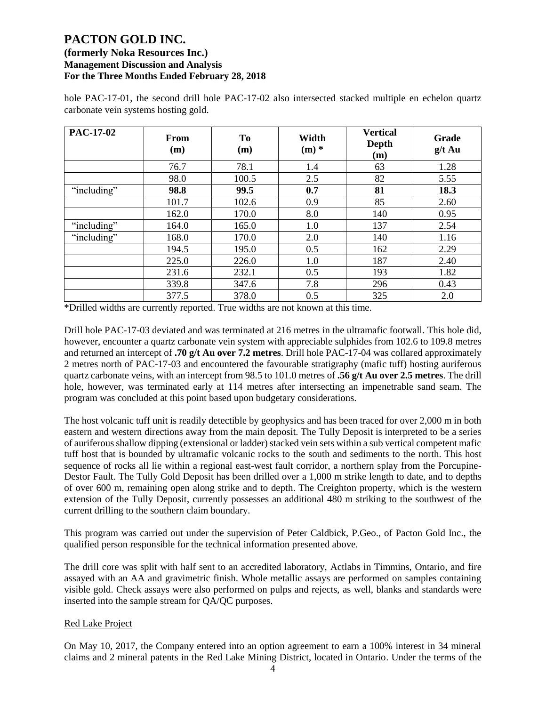| <b>PAC-17-02</b> | From<br>(m) | <b>To</b><br>(m) | Width<br>$(m)$ * | <b>Vertical</b><br>Depth<br>(m) | Grade<br>$g/t$ Au |
|------------------|-------------|------------------|------------------|---------------------------------|-------------------|
|                  | 76.7        | 78.1             | 1.4              | 63                              | 1.28              |
|                  | 98.0        | 100.5            | 2.5              | 82                              | 5.55              |
| "including"      | 98.8        | 99.5             | 0.7              | 81                              | 18.3              |
|                  | 101.7       | 102.6            | 0.9              | 85                              | 2.60              |
|                  | 162.0       | 170.0            | 8.0              | 140                             | 0.95              |
| "including"      | 164.0       | 165.0            | 1.0              | 137                             | 2.54              |
| "including"      | 168.0       | 170.0            | 2.0              | 140                             | 1.16              |
|                  | 194.5       | 195.0            | 0.5              | 162                             | 2.29              |
|                  | 225.0       | 226.0            | 1.0              | 187                             | 2.40              |
|                  | 231.6       | 232.1            | 0.5              | 193                             | 1.82              |
|                  | 339.8       | 347.6            | 7.8              | 296                             | 0.43              |
|                  | 377.5       | 378.0            | 0.5              | 325                             | 2.0               |

hole PAC-17-01, the second drill hole PAC-17-02 also intersected stacked multiple en echelon quartz carbonate vein systems hosting gold.

\*Drilled widths are currently reported. True widths are not known at this time.

Drill hole PAC-17-03 deviated and was terminated at 216 metres in the ultramafic footwall. This hole did, however, encounter a quartz carbonate vein system with appreciable sulphides from 102.6 to 109.8 metres and returned an intercept of **.70 g/t Au over 7.2 metres**. Drill hole PAC-17-04 was collared approximately 2 metres north of PAC-17-03 and encountered the favourable stratigraphy (mafic tuff) hosting auriferous quartz carbonate veins, with an intercept from 98.5 to 101.0 metres of **.56 g/t Au over 2.5 metres**. The drill hole, however, was terminated early at 114 metres after intersecting an impenetrable sand seam. The program was concluded at this point based upon budgetary considerations.

The host volcanic tuff unit is readily detectible by geophysics and has been traced for over 2,000 m in both eastern and western directions away from the main deposit. The Tully Deposit is interpreted to be a series of auriferous shallow dipping (extensional or ladder) stacked vein sets within a sub vertical competent mafic tuff host that is bounded by ultramafic volcanic rocks to the south and sediments to the north. This host sequence of rocks all lie within a regional east-west fault corridor, a northern splay from the Porcupine-Destor Fault. The Tully Gold Deposit has been drilled over a 1,000 m strike length to date, and to depths of over 600 m, remaining open along strike and to depth. The Creighton property, which is the western extension of the Tully Deposit, currently possesses an additional 480 m striking to the southwest of the current drilling to the southern claim boundary.

This program was carried out under the supervision of Peter Caldbick, P.Geo., of Pacton Gold Inc., the qualified person responsible for the technical information presented above.

The drill core was split with half sent to an accredited laboratory, Actlabs in Timmins, Ontario, and fire assayed with an AA and gravimetric finish. Whole metallic assays are performed on samples containing visible gold. Check assays were also performed on pulps and rejects, as well, blanks and standards were inserted into the sample stream for QA/QC purposes.

#### Red Lake Project

On May 10, 2017, the Company entered into an option agreement to earn a 100% interest in 34 mineral claims and 2 mineral patents in the Red Lake Mining District, located in Ontario. Under the terms of the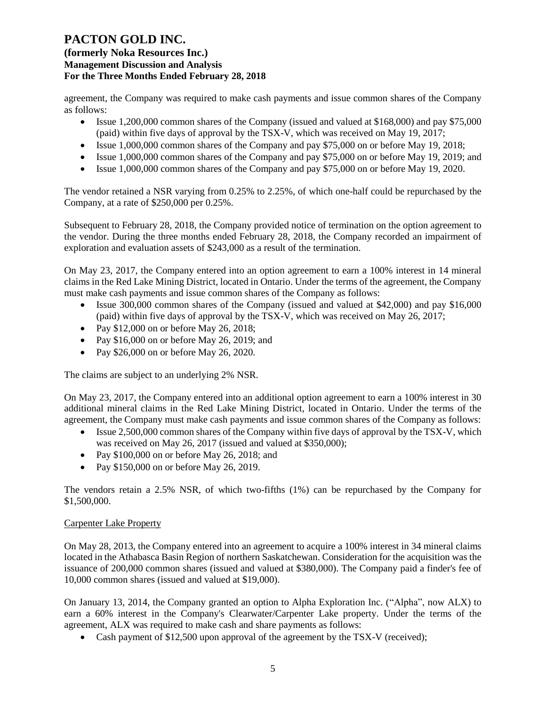agreement, the Company was required to make cash payments and issue common shares of the Company as follows:

- Issue 1,200,000 common shares of the Company (issued and valued at \$168,000) and pay \$75,000 (paid) within five days of approval by the TSX-V, which was received on May 19, 2017;
- Issue 1,000,000 common shares of the Company and pay \$75,000 on or before May 19, 2018;
- Issue 1,000,000 common shares of the Company and pay \$75,000 on or before May 19, 2019; and
- Issue 1,000,000 common shares of the Company and pay \$75,000 on or before May 19, 2020.

The vendor retained a NSR varying from 0.25% to 2.25%, of which one-half could be repurchased by the Company, at a rate of \$250,000 per 0.25%.

Subsequent to February 28, 2018, the Company provided notice of termination on the option agreement to the vendor. During the three months ended February 28, 2018, the Company recorded an impairment of exploration and evaluation assets of \$243,000 as a result of the termination.

On May 23, 2017, the Company entered into an option agreement to earn a 100% interest in 14 mineral claims in the Red Lake Mining District, located in Ontario. Under the terms of the agreement, the Company must make cash payments and issue common shares of the Company as follows:

- Issue 300,000 common shares of the Company (issued and valued at \$42,000) and pay \$16,000 (paid) within five days of approval by the TSX-V, which was received on May 26, 2017;
- Pay \$12,000 on or before May 26, 2018;
- Pay \$16,000 on or before May 26, 2019; and
- Pay \$26,000 on or before May 26, 2020.

The claims are subject to an underlying 2% NSR.

On May 23, 2017, the Company entered into an additional option agreement to earn a 100% interest in 30 additional mineral claims in the Red Lake Mining District, located in Ontario. Under the terms of the agreement, the Company must make cash payments and issue common shares of the Company as follows:

- Issue 2,500,000 common shares of the Company within five days of approval by the TSX-V, which was received on May 26, 2017 (issued and valued at \$350,000);
- Pay \$100,000 on or before May 26, 2018; and
- Pay \$150,000 on or before May 26, 2019.

The vendors retain a 2.5% NSR, of which two-fifths (1%) can be repurchased by the Company for \$1,500,000.

#### Carpenter Lake Property

On May 28, 2013, the Company entered into an agreement to acquire a 100% interest in 34 mineral claims located in the Athabasca Basin Region of northern Saskatchewan. Consideration for the acquisition was the issuance of 200,000 common shares (issued and valued at \$380,000). The Company paid a finder's fee of 10,000 common shares (issued and valued at \$19,000).

On January 13, 2014, the Company granted an option to Alpha Exploration Inc. ("Alpha", now ALX) to earn a 60% interest in the Company's Clearwater/Carpenter Lake property. Under the terms of the agreement, ALX was required to make cash and share payments as follows:

• Cash payment of \$12,500 upon approval of the agreement by the TSX-V (received);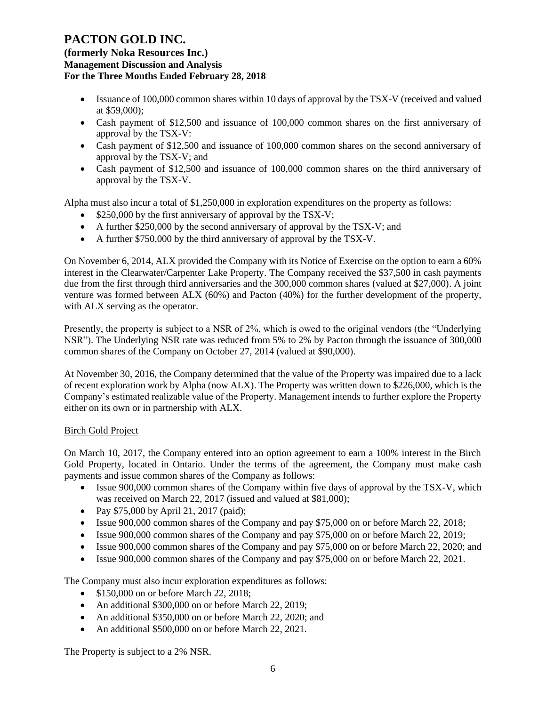**(formerly Noka Resources Inc.) Management Discussion and Analysis For the Three Months Ended February 28, 2018**

- Issuance of 100,000 common shares within 10 days of approval by the TSX-V (received and valued at \$59,000);
- Cash payment of \$12,500 and issuance of 100,000 common shares on the first anniversary of approval by the TSX-V:
- Cash payment of \$12,500 and issuance of 100,000 common shares on the second anniversary of approval by the TSX-V; and
- Cash payment of \$12,500 and issuance of 100,000 common shares on the third anniversary of approval by the TSX-V.

Alpha must also incur a total of \$1,250,000 in exploration expenditures on the property as follows:

- \$250,000 by the first anniversary of approval by the TSX-V;
- A further \$250,000 by the second anniversary of approval by the TSX-V; and
- A further \$750,000 by the third anniversary of approval by the TSX-V.

On November 6, 2014, ALX provided the Company with its Notice of Exercise on the option to earn a 60% interest in the Clearwater/Carpenter Lake Property. The Company received the \$37,500 in cash payments due from the first through third anniversaries and the 300,000 common shares (valued at \$27,000). A joint venture was formed between ALX (60%) and Pacton (40%) for the further development of the property, with ALX serving as the operator.

Presently, the property is subject to a NSR of 2%, which is owed to the original vendors (the "Underlying NSR"). The Underlying NSR rate was reduced from 5% to 2% by Pacton through the issuance of 300,000 common shares of the Company on October 27, 2014 (valued at \$90,000).

At November 30, 2016, the Company determined that the value of the Property was impaired due to a lack of recent exploration work by Alpha (now ALX). The Property was written down to \$226,000, which is the Company's estimated realizable value of the Property. Management intends to further explore the Property either on its own or in partnership with ALX.

#### Birch Gold Project

On March 10, 2017, the Company entered into an option agreement to earn a 100% interest in the Birch Gold Property, located in Ontario. Under the terms of the agreement, the Company must make cash payments and issue common shares of the Company as follows:

- Issue 900,000 common shares of the Company within five days of approval by the TSX-V, which was received on March 22, 2017 (issued and valued at \$81,000);
- Pay \$75,000 by April 21, 2017 (paid);
- Issue 900,000 common shares of the Company and pay \$75,000 on or before March 22, 2018;
- Issue 900,000 common shares of the Company and pay \$75,000 on or before March 22, 2019;
- Issue 900,000 common shares of the Company and pay \$75,000 on or before March 22, 2020; and
- Issue 900,000 common shares of the Company and pay \$75,000 on or before March 22, 2021.

The Company must also incur exploration expenditures as follows:

- \$150,000 on or before March 22, 2018;
- An additional \$300,000 on or before March 22, 2019;
- An additional \$350,000 on or before March 22, 2020; and
- An additional \$500,000 on or before March 22, 2021.

The Property is subject to a 2% NSR.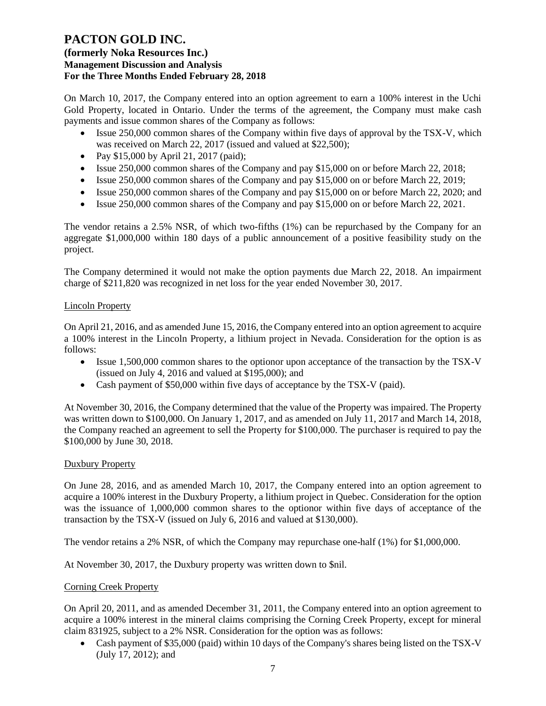## **(formerly Noka Resources Inc.) Management Discussion and Analysis For the Three Months Ended February 28, 2018**

On March 10, 2017, the Company entered into an option agreement to earn a 100% interest in the Uchi Gold Property, located in Ontario. Under the terms of the agreement, the Company must make cash payments and issue common shares of the Company as follows:

- Issue 250,000 common shares of the Company within five days of approval by the TSX-V, which was received on March 22, 2017 (issued and valued at \$22,500);
- Pay \$15,000 by April 21, 2017 (paid);
- Issue 250,000 common shares of the Company and pay \$15,000 on or before March 22, 2018;
- Issue 250,000 common shares of the Company and pay \$15,000 on or before March 22, 2019;
- Issue 250,000 common shares of the Company and pay \$15,000 on or before March 22, 2020; and
- Issue 250,000 common shares of the Company and pay \$15,000 on or before March 22, 2021.

The vendor retains a 2.5% NSR, of which two-fifths (1%) can be repurchased by the Company for an aggregate \$1,000,000 within 180 days of a public announcement of a positive feasibility study on the project.

The Company determined it would not make the option payments due March 22, 2018. An impairment charge of \$211,820 was recognized in net loss for the year ended November 30, 2017.

#### Lincoln Property

On April 21, 2016, and as amended June 15, 2016, the Company entered into an option agreement to acquire a 100% interest in the Lincoln Property, a lithium project in Nevada. Consideration for the option is as follows:

- Issue 1,500,000 common shares to the optionor upon acceptance of the transaction by the TSX-V (issued on July 4, 2016 and valued at \$195,000); and
- Cash payment of \$50,000 within five days of acceptance by the TSX-V (paid).

At November 30, 2016, the Company determined that the value of the Property was impaired. The Property was written down to \$100,000. On January 1, 2017, and as amended on July 11, 2017 and March 14, 2018, the Company reached an agreement to sell the Property for \$100,000. The purchaser is required to pay the \$100,000 by June 30, 2018.

#### Duxbury Property

On June 28, 2016, and as amended March 10, 2017, the Company entered into an option agreement to acquire a 100% interest in the Duxbury Property, a lithium project in Quebec. Consideration for the option was the issuance of 1,000,000 common shares to the optionor within five days of acceptance of the transaction by the TSX-V (issued on July 6, 2016 and valued at \$130,000).

The vendor retains a 2% NSR, of which the Company may repurchase one-half (1%) for \$1,000,000.

At November 30, 2017, the Duxbury property was written down to \$nil.

#### Corning Creek Property

On April 20, 2011, and as amended December 31, 2011, the Company entered into an option agreement to acquire a 100% interest in the mineral claims comprising the Corning Creek Property, except for mineral claim 831925, subject to a 2% NSR. Consideration for the option was as follows:

• Cash payment of \$35,000 (paid) within 10 days of the Company's shares being listed on the TSX-V (July 17, 2012); and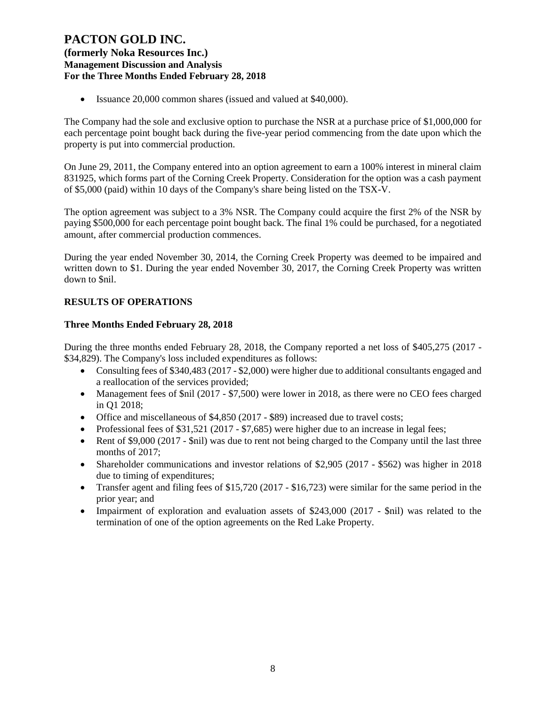## **(formerly Noka Resources Inc.) Management Discussion and Analysis For the Three Months Ended February 28, 2018**

• Issuance 20,000 common shares (issued and valued at \$40,000).

The Company had the sole and exclusive option to purchase the NSR at a purchase price of \$1,000,000 for each percentage point bought back during the five-year period commencing from the date upon which the property is put into commercial production.

On June 29, 2011, the Company entered into an option agreement to earn a 100% interest in mineral claim 831925, which forms part of the Corning Creek Property. Consideration for the option was a cash payment of \$5,000 (paid) within 10 days of the Company's share being listed on the TSX-V.

The option agreement was subject to a 3% NSR. The Company could acquire the first 2% of the NSR by paying \$500,000 for each percentage point bought back. The final 1% could be purchased, for a negotiated amount, after commercial production commences.

During the year ended November 30, 2014, the Corning Creek Property was deemed to be impaired and written down to \$1. During the year ended November 30, 2017, the Corning Creek Property was written down to \$nil.

## **RESULTS OF OPERATIONS**

## **Three Months Ended February 28, 2018**

During the three months ended February 28, 2018, the Company reported a net loss of \$405,275 (2017 - \$34,829). The Company's loss included expenditures as follows:

- Consulting fees of \$340,483 (2017 \$2,000) were higher due to additional consultants engaged and a reallocation of the services provided;
- Management fees of \$nil (2017 \$7,500) were lower in 2018, as there were no CEO fees charged in Q1 2018;
- Office and miscellaneous of \$4,850 (2017 \$89) increased due to travel costs;
- Professional fees of \$31,521 (2017 \$7,685) were higher due to an increase in legal fees;
- Rent of \$9,000 (2017 \$nil) was due to rent not being charged to the Company until the last three months of 2017;
- Shareholder communications and investor relations of \$2,905 (2017 \$562) was higher in 2018 due to timing of expenditures;
- Transfer agent and filing fees of \$15,720 (2017 \$16,723) were similar for the same period in the prior year; and
- Impairment of exploration and evaluation assets of \$243,000 (2017 \$nil) was related to the termination of one of the option agreements on the Red Lake Property.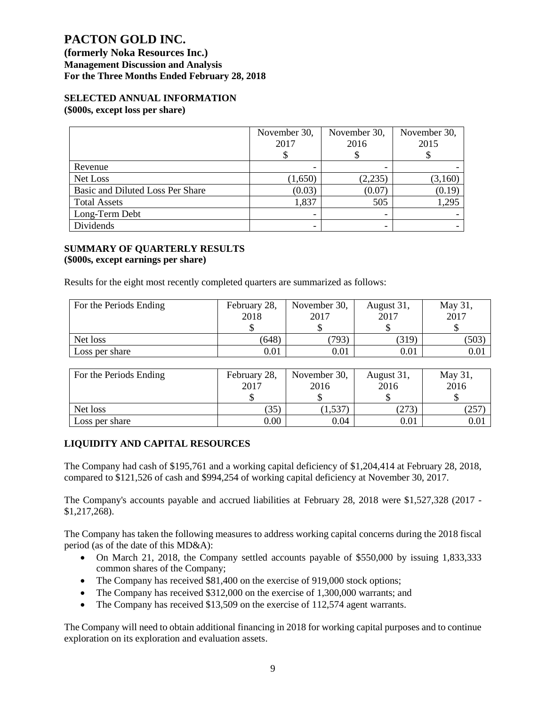**(formerly Noka Resources Inc.) Management Discussion and Analysis For the Three Months Ended February 28, 2018**

#### **SELECTED ANNUAL INFORMATION (\$000s, except loss per share)**

|                                  | November 30,<br>2017 | November 30,<br>2016 | November 30,<br>2015 |
|----------------------------------|----------------------|----------------------|----------------------|
| Revenue                          | -                    |                      |                      |
| Net Loss                         | (1,650)              | (2,235)              | (3,160)              |
| Basic and Diluted Loss Per Share | (0.03)               | (0.07)               | (0.19)               |
| <b>Total Assets</b>              | 1,837                | 505                  | 1,295                |
| Long-Term Debt                   | ٠                    |                      |                      |
| Dividends                        | ٠                    |                      |                      |

#### **SUMMARY OF QUARTERLY RESULTS (\$000s, except earnings per share)**

Results for the eight most recently completed quarters are summarized as follows:

| For the Periods Ending | February 28, | November 30, | August 31, | May 31, |
|------------------------|--------------|--------------|------------|---------|
|                        | 2018         | 2017         | 2017       | 2017    |
|                        |              |              |            |         |
| Net loss               | (648)        | 793)         | (319)      | 503     |
| Loss per share         | 0.01         | 0.01         | 0.01       | 0.01    |

| For the Periods Ending | February 28,<br>2017 | November 30,<br>2016 | August 31,<br>2016 | May 31,<br>2016 |
|------------------------|----------------------|----------------------|--------------------|-----------------|
|                        |                      |                      |                    |                 |
| Net loss               | (35)                 | 1,537                | 273                | 257             |
| Loss per share         | 0.00                 | 0.04                 | 0.01               | 0.01            |

## **LIQUIDITY AND CAPITAL RESOURCES**

The Company had cash of \$195,761 and a working capital deficiency of \$1,204,414 at February 28, 2018, compared to \$121,526 of cash and \$994,254 of working capital deficiency at November 30, 2017.

The Company's accounts payable and accrued liabilities at February 28, 2018 were \$1,527,328 (2017 - \$1,217,268).

The Company has taken the following measures to address working capital concerns during the 2018 fiscal period (as of the date of this MD&A):

- On March 21, 2018, the Company settled accounts payable of \$550,000 by issuing 1,833,333 common shares of the Company;
- The Company has received \$81,400 on the exercise of 919,000 stock options;
- The Company has received \$312,000 on the exercise of 1,300,000 warrants; and
- The Company has received \$13,509 on the exercise of 112,574 agent warrants.

The Company will need to obtain additional financing in 2018 for working capital purposes and to continue exploration on its exploration and evaluation assets.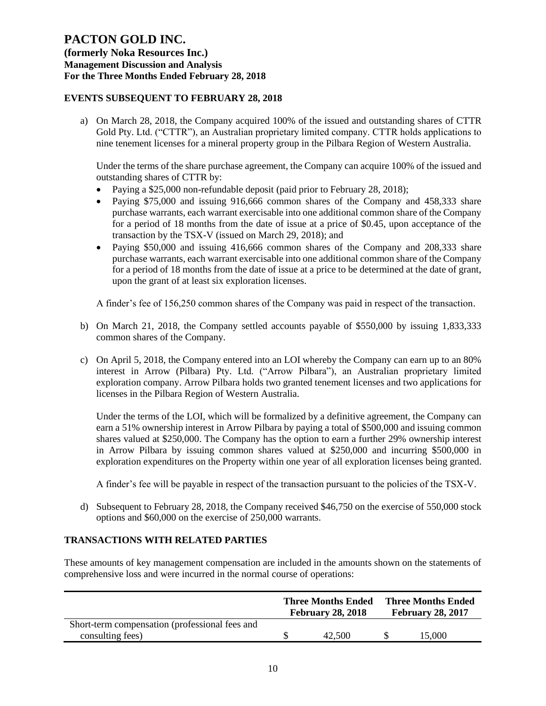**(formerly Noka Resources Inc.) Management Discussion and Analysis For the Three Months Ended February 28, 2018**

## **EVENTS SUBSEQUENT TO FEBRUARY 28, 2018**

a) On March 28, 2018, the Company acquired 100% of the issued and outstanding shares of CTTR Gold Pty. Ltd. ("CTTR"), an Australian proprietary limited company. CTTR holds applications to nine tenement licenses for a mineral property group in the Pilbara Region of Western Australia.

Under the terms of the share purchase agreement, the Company can acquire 100% of the issued and outstanding shares of CTTR by:

- Paying a \$25,000 non-refundable deposit (paid prior to February 28, 2018);
- Paying \$75,000 and issuing 916,666 common shares of the Company and 458,333 share purchase warrants, each warrant exercisable into one additional common share of the Company for a period of 18 months from the date of issue at a price of \$0.45, upon acceptance of the transaction by the TSX-V (issued on March 29, 2018); and
- Paying \$50,000 and issuing 416,666 common shares of the Company and 208,333 share purchase warrants, each warrant exercisable into one additional common share of the Company for a period of 18 months from the date of issue at a price to be determined at the date of grant, upon the grant of at least six exploration licenses.

A finder's fee of 156,250 common shares of the Company was paid in respect of the transaction.

- b) On March 21, 2018, the Company settled accounts payable of \$550,000 by issuing 1,833,333 common shares of the Company.
- c) On April 5, 2018, the Company entered into an LOI whereby the Company can earn up to an 80% interest in Arrow (Pilbara) Pty. Ltd. ("Arrow Pilbara"), an Australian proprietary limited exploration company. Arrow Pilbara holds two granted tenement licenses and two applications for licenses in the Pilbara Region of Western Australia.

Under the terms of the LOI, which will be formalized by a definitive agreement, the Company can earn a 51% ownership interest in Arrow Pilbara by paying a total of \$500,000 and issuing common shares valued at \$250,000. The Company has the option to earn a further 29% ownership interest in Arrow Pilbara by issuing common shares valued at \$250,000 and incurring \$500,000 in exploration expenditures on the Property within one year of all exploration licenses being granted.

A finder's fee will be payable in respect of the transaction pursuant to the policies of the TSX-V.

d) Subsequent to February 28, 2018, the Company received \$46,750 on the exercise of 550,000 stock options and \$60,000 on the exercise of 250,000 warrants.

## **TRANSACTIONS WITH RELATED PARTIES**

These amounts of key management compensation are included in the amounts shown on the statements of comprehensive loss and were incurred in the normal course of operations:

|                                                | <b>Three Months Ended</b><br><b>February 28, 2018</b> |        | <b>Three Months Ended</b><br><b>February 28, 2017</b> |       |
|------------------------------------------------|-------------------------------------------------------|--------|-------------------------------------------------------|-------|
| Short-term compensation (professional fees and |                                                       |        |                                                       |       |
| consulting fees)                               |                                                       | 42.500 |                                                       | 5.000 |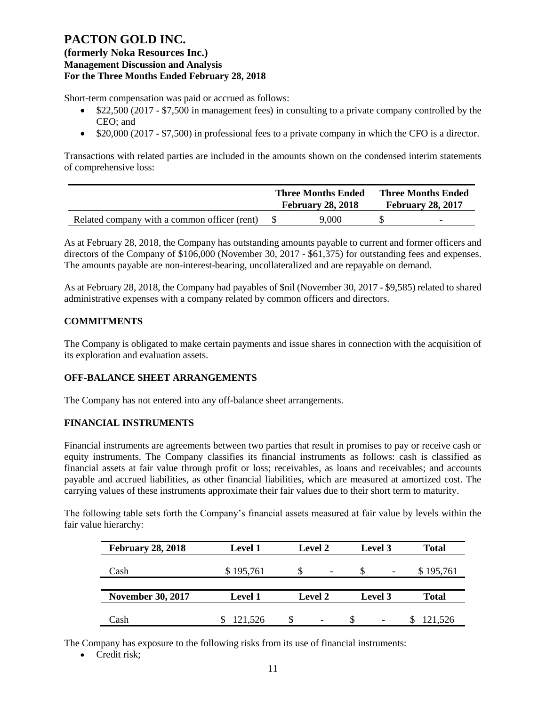## **(formerly Noka Resources Inc.) Management Discussion and Analysis For the Three Months Ended February 28, 2018**

Short-term compensation was paid or accrued as follows:

- \$22,500 (2017 \$7,500 in management fees) in consulting to a private company controlled by the CEO; and
- \$20,000 (2017 \$7,500) in professional fees to a private company in which the CFO is a director.

Transactions with related parties are included in the amounts shown on the condensed interim statements of comprehensive loss:

|                                              |  | <b>Three Months Ended</b><br><b>February 28, 2018</b> |  | <b>Three Months Ended</b><br><b>February 28, 2017</b> |  |
|----------------------------------------------|--|-------------------------------------------------------|--|-------------------------------------------------------|--|
| Related company with a common officer (rent) |  | 9.000                                                 |  | $\overline{\phantom{0}}$                              |  |

As at February 28, 2018, the Company has outstanding amounts payable to current and former officers and directors of the Company of \$106,000 (November 30, 2017 - \$61,375) for outstanding fees and expenses. The amounts payable are non-interest-bearing, uncollateralized and are repayable on demand.

As at February 28, 2018, the Company had payables of \$nil (November 30, 2017 - \$9,585) related to shared administrative expenses with a company related by common officers and directors.

## **COMMITMENTS**

The Company is obligated to make certain payments and issue shares in connection with the acquisition of its exploration and evaluation assets.

## **OFF-BALANCE SHEET ARRANGEMENTS**

The Company has not entered into any off-balance sheet arrangements.

## **FINANCIAL INSTRUMENTS**

Financial instruments are agreements between two parties that result in promises to pay or receive cash or equity instruments. The Company classifies its financial instruments as follows: cash is classified as financial assets at fair value through profit or loss; receivables, as loans and receivables; and accounts payable and accrued liabilities, as other financial liabilities, which are measured at amortized cost. The carrying values of these instruments approximate their fair values due to their short term to maturity.

The following table sets forth the Company's financial assets measured at fair value by levels within the fair value hierarchy:

| <b>February 28, 2018</b> | <b>Level 1</b> | <b>Level 2</b>           | Level 3  | <b>Total</b> |
|--------------------------|----------------|--------------------------|----------|--------------|
| Cash                     | \$195,761      | $\overline{\phantom{a}}$ | <b>S</b> | \$195,761    |
|                          |                |                          |          |              |
| <b>November 30, 2017</b> | <b>Level 1</b> | <b>Level 2</b>           | Level 3  | <b>Total</b> |
|                          |                |                          |          |              |
| Cash                     | 121,526        | $\overline{\phantom{a}}$ |          | 121,526      |

The Company has exposure to the following risks from its use of financial instruments:

• Credit risk: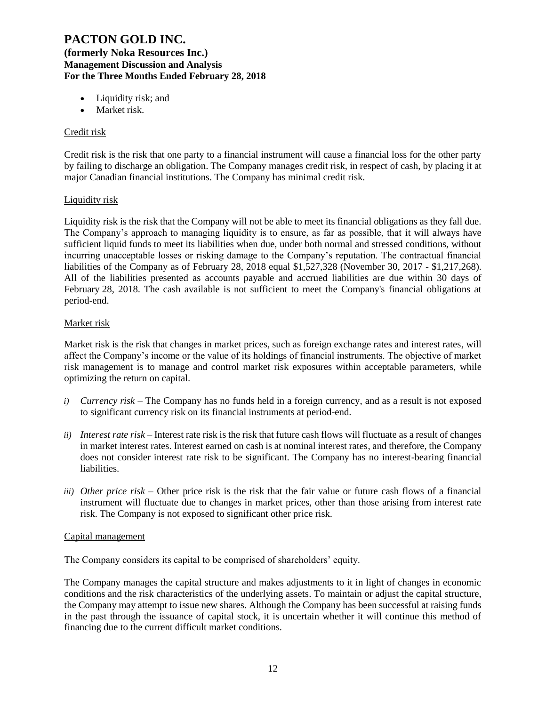**(formerly Noka Resources Inc.) Management Discussion and Analysis For the Three Months Ended February 28, 2018**

- Liquidity risk; and
- Market risk.

### Credit risk

Credit risk is the risk that one party to a financial instrument will cause a financial loss for the other party by failing to discharge an obligation. The Company manages credit risk, in respect of cash, by placing it at major Canadian financial institutions. The Company has minimal credit risk.

#### Liquidity risk

Liquidity risk is the risk that the Company will not be able to meet its financial obligations as they fall due. The Company's approach to managing liquidity is to ensure, as far as possible, that it will always have sufficient liquid funds to meet its liabilities when due, under both normal and stressed conditions, without incurring unacceptable losses or risking damage to the Company's reputation. The contractual financial liabilities of the Company as of February 28, 2018 equal \$1,527,328 (November 30, 2017 - \$1,217,268). All of the liabilities presented as accounts payable and accrued liabilities are due within 30 days of February 28, 2018. The cash available is not sufficient to meet the Company's financial obligations at period-end.

#### Market risk

Market risk is the risk that changes in market prices, such as foreign exchange rates and interest rates, will affect the Company's income or the value of its holdings of financial instruments. The objective of market risk management is to manage and control market risk exposures within acceptable parameters, while optimizing the return on capital.

- *i) Currency risk* The Company has no funds held in a foreign currency, and as a result is not exposed to significant currency risk on its financial instruments at period-end.
- *ii) Interest rate risk –* Interest rate risk is the risk that future cash flows will fluctuate as a result of changes in market interest rates. Interest earned on cash is at nominal interest rates, and therefore, the Company does not consider interest rate risk to be significant. The Company has no interest-bearing financial liabilities.
- *iii) Other price risk –* Other price risk is the risk that the fair value or future cash flows of a financial instrument will fluctuate due to changes in market prices, other than those arising from interest rate risk. The Company is not exposed to significant other price risk.

#### Capital management

The Company considers its capital to be comprised of shareholders' equity.

The Company manages the capital structure and makes adjustments to it in light of changes in economic conditions and the risk characteristics of the underlying assets. To maintain or adjust the capital structure, the Company may attempt to issue new shares. Although the Company has been successful at raising funds in the past through the issuance of capital stock, it is uncertain whether it will continue this method of financing due to the current difficult market conditions.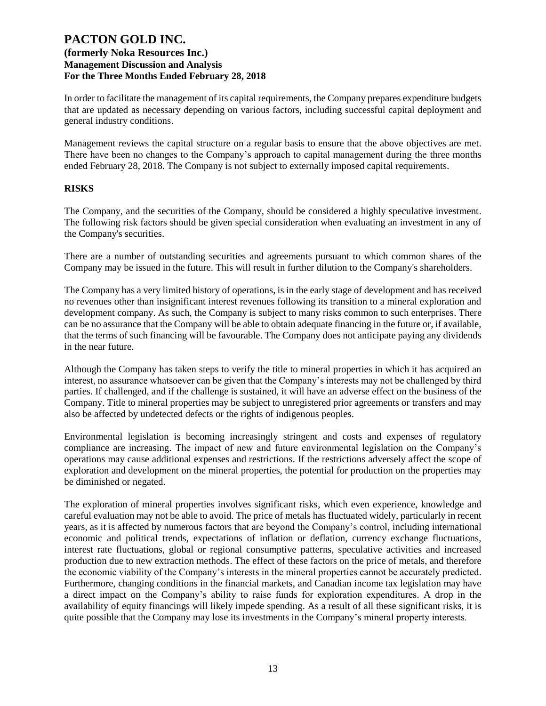In order to facilitate the management of its capital requirements, the Company prepares expenditure budgets that are updated as necessary depending on various factors, including successful capital deployment and general industry conditions.

Management reviews the capital structure on a regular basis to ensure that the above objectives are met. There have been no changes to the Company's approach to capital management during the three months ended February 28, 2018. The Company is not subject to externally imposed capital requirements.

#### **RISKS**

The Company, and the securities of the Company, should be considered a highly speculative investment. The following risk factors should be given special consideration when evaluating an investment in any of the Company's securities.

There are a number of outstanding securities and agreements pursuant to which common shares of the Company may be issued in the future. This will result in further dilution to the Company's shareholders.

The Company has a very limited history of operations, is in the early stage of development and has received no revenues other than insignificant interest revenues following its transition to a mineral exploration and development company. As such, the Company is subject to many risks common to such enterprises. There can be no assurance that the Company will be able to obtain adequate financing in the future or, if available, that the terms of such financing will be favourable. The Company does not anticipate paying any dividends in the near future.

Although the Company has taken steps to verify the title to mineral properties in which it has acquired an interest, no assurance whatsoever can be given that the Company's interests may not be challenged by third parties. If challenged, and if the challenge is sustained, it will have an adverse effect on the business of the Company. Title to mineral properties may be subject to unregistered prior agreements or transfers and may also be affected by undetected defects or the rights of indigenous peoples.

Environmental legislation is becoming increasingly stringent and costs and expenses of regulatory compliance are increasing. The impact of new and future environmental legislation on the Company's operations may cause additional expenses and restrictions. If the restrictions adversely affect the scope of exploration and development on the mineral properties, the potential for production on the properties may be diminished or negated.

The exploration of mineral properties involves significant risks, which even experience, knowledge and careful evaluation may not be able to avoid. The price of metals has fluctuated widely, particularly in recent years, as it is affected by numerous factors that are beyond the Company's control, including international economic and political trends, expectations of inflation or deflation, currency exchange fluctuations, interest rate fluctuations, global or regional consumptive patterns, speculative activities and increased production due to new extraction methods. The effect of these factors on the price of metals, and therefore the economic viability of the Company's interests in the mineral properties cannot be accurately predicted. Furthermore, changing conditions in the financial markets, and Canadian income tax legislation may have a direct impact on the Company's ability to raise funds for exploration expenditures. A drop in the availability of equity financings will likely impede spending. As a result of all these significant risks, it is quite possible that the Company may lose its investments in the Company's mineral property interests.